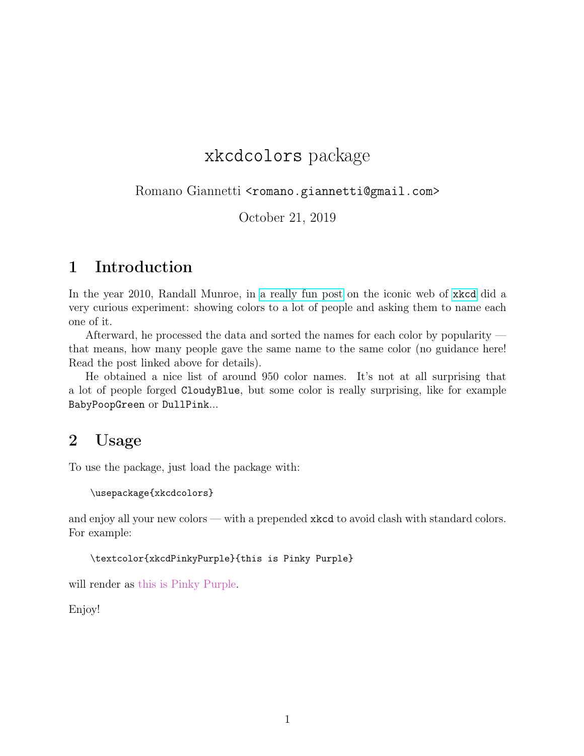## xkcdcolors package

Romano Giannetti <romano.giannetti@gmail.com>

October 21, 2019

## 1 Introduction

In the year 2010, Randall Munroe, in [a really fun post](https://blog.xkcd.com/2010/05/03/color-survey-results/) on the iconic web of [xkcd](https://xkcd.com/) did a very curious experiment: showing colors to a lot of people and asking them to name each one of it.

Afterward, he processed the data and sorted the names for each color by popularity that means, how many people gave the same name to the same color (no guidance here! Read the post linked above for details).

He obtained a nice list of around 950 color names. It's not at all surprising that a lot of people forged CloudyBlue, but some color is really surprising, like for example BabyPoopGreen or DullPink...

## 2 Usage

To use the package, just load the package with:

```
\usepackage{xkcdcolors}
```
and enjoy all your new colors — with a prepended xkcd to avoid clash with standard colors. For example:

```
\textcolor{xkcdPinkyPurple}{this is Pinky Purple}
```
will render as this is Pinky Purple.

Enjoy!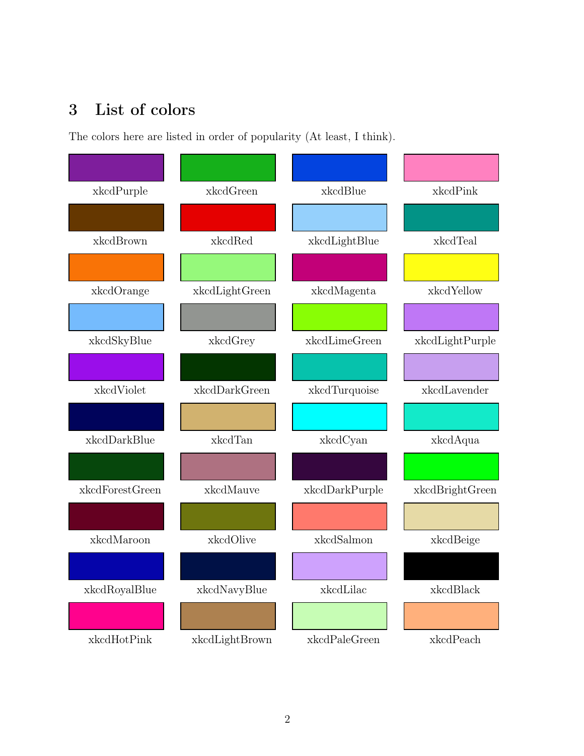## 3 List of colors

The colors here are listed in order of popularity (At least, I think).

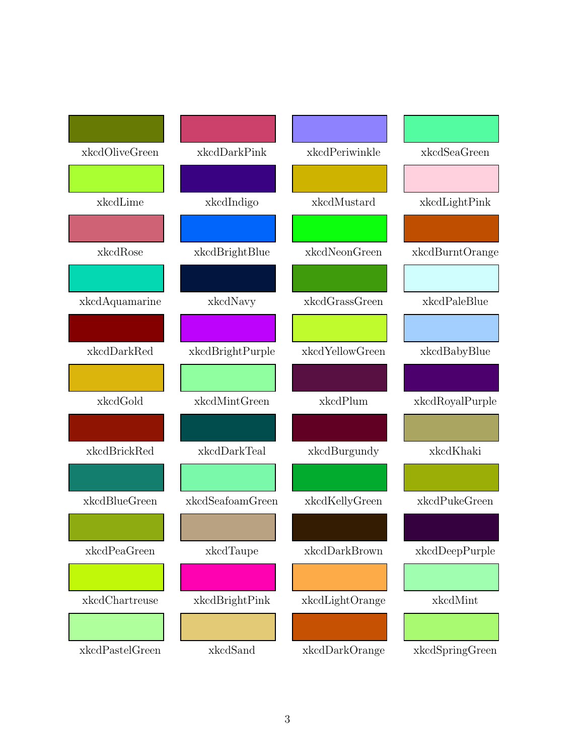| xkcdOliveGreen | xkcdDarkPink     | xkcdPeriwinkle  | xkcdSeaGreen    |
|----------------|------------------|-----------------|-----------------|
|                |                  |                 |                 |
| xkcdLime       | xkcdIndigo       | xkcdMustard     | xkcdLightPink   |
|                |                  |                 |                 |
| xkcdRose       | xkcdBrightBlue   | xkcdNeonGreen   | xkcdBurntOrange |
|                |                  |                 |                 |
| xkcdAquamarine | xkcdNavy         | xkcdGrassGreen  | xkcdPaleBlue    |
|                |                  |                 |                 |
| xkcdDarkRed    | xkcdBrightPurple | xkcdYellowGreen | xkcdBabyBlue    |
|                |                  |                 |                 |
|                |                  |                 |                 |
| xkcdGold       | xkcdMintGreen    | xkcdPlum        | xkcdRoyalPurple |
|                |                  |                 |                 |
| xkcdBrickRed   | xkcdDarkTeal     | xkcdBurgundy    | xkcdKhaki       |
|                |                  |                 |                 |
| xkcdBlueGreen  | xkcdSeafoamGreen | xkcdKellyGreen  | xkcdPukeGreen   |
|                |                  |                 |                 |
| xkcdPeaGreen   | xkcdTaupe        | xkcdDarkBrown   | xkcdDeepPurple  |
|                |                  |                 |                 |
| xkcdChartreuse | xkcdBrightPink   | xkcdLightOrange | xkcdMint        |
|                |                  |                 |                 |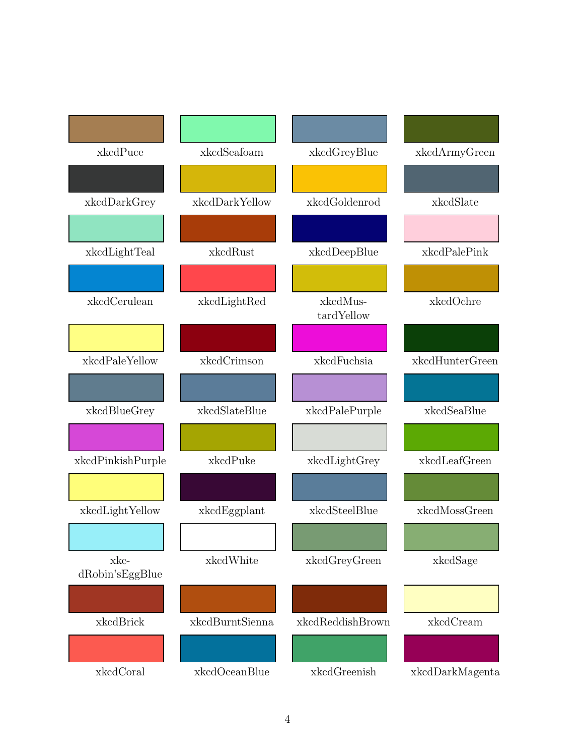| xkcdPuce                  | xkcdSeafoam     | xkcdGreyBlue           | xkcdArmyGreen   |
|---------------------------|-----------------|------------------------|-----------------|
|                           |                 |                        |                 |
| xkcdDarkGrey              | xkcdDarkYellow  | xkcdGoldenrod          | xkcdSlate       |
|                           |                 |                        |                 |
| xkcdLightTeal             | xkcdRust        | xkcdDeepBlue           | xkcdPalePink    |
|                           |                 |                        |                 |
| xkcdCerulean              | xkcdLightRed    | xkcdMus-<br>tardYellow | xkcdOchre       |
|                           |                 |                        |                 |
|                           |                 |                        |                 |
| xkcdPaleYellow            | xkcdCrimson     | xkcdFuchsia            | xkcdHunterGreen |
|                           |                 |                        |                 |
| xkcdBlueGrey              | xkcdSlateBlue   | xkcdPalePurple         | xkcdSeaBlue     |
|                           |                 |                        |                 |
| xkcdPinkishPurple         | xkcdPuke        | xkcdLightGrey          | xkcdLeafGreen   |
|                           |                 |                        |                 |
| xkcdLightYellow           | xkcdEggplant    | xkcdSteelBlue          | xkcdMossGreen   |
|                           |                 |                        |                 |
| xkc-<br>$dRobin'sEggBlue$ | xkcdWhite       | xkcdGreyGreen          | xkcdSage        |
|                           |                 |                        |                 |
| xkcdBrick                 | xkcdBurntSienna | xkcdReddishBrown       | xkcdCream       |
|                           |                 |                        |                 |
| xkcdCoral                 | xkcdOceanBlue   | xkcdGreenish           | xkcdDarkMagenta |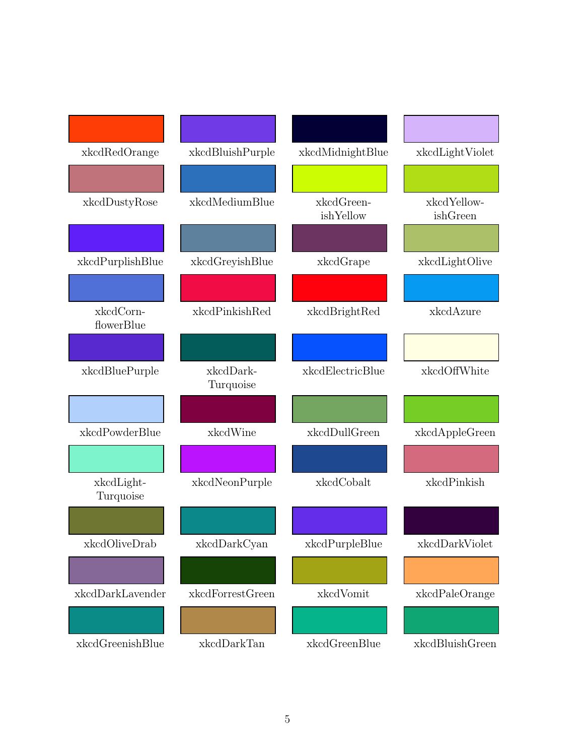| xkcdRedOrange           | xkcdBluishPurple       | xkcdMidnightBlue        | xkcdLightViolet         |
|-------------------------|------------------------|-------------------------|-------------------------|
|                         |                        |                         |                         |
| xkcdDustyRose           | xkcdMediumBlue         | xkcdGreen-<br>ishYellow | xkcdYellow-<br>ishGreen |
|                         |                        |                         |                         |
| xkcdPurplishBlue        | xkcdGreyishBlue        | xkcdGrape               | xkcdLightOlive          |
|                         |                        |                         |                         |
| xkcdCorn-<br>flowerBlue | xkcdPinkishRed         | xkcdBrightRed           | xkcdAzure               |
|                         |                        |                         |                         |
| xkcdBluePurple          | xkcdDark-<br>Turquoise | xkcdElectricBlue        | xkcdOffWhite            |
|                         |                        |                         |                         |
| xkcdPowderBlue          | xkcdWine               | xkcdDullGreen           | xkcdAppleGreen          |
|                         |                        |                         |                         |
| xkcdLight-<br>Turquoise | xkcdNeonPurple         | xkcdCobalt              | xkcdPinkish             |
|                         |                        |                         |                         |
| xkcdOliveDrab           | xkcdDarkCyan           | xkcdPurpleBlue          | xkcdDarkViolet          |
|                         |                        |                         |                         |
| xkcdDarkLavender        | xkcdForrestGreen       | xkcdVomit               | xkcdPaleOrange          |
|                         |                        |                         |                         |
| xkcdGreenishBlue        | xkcdDarkTan            | xkcdGreenBlue           | xkcdBluishGreen         |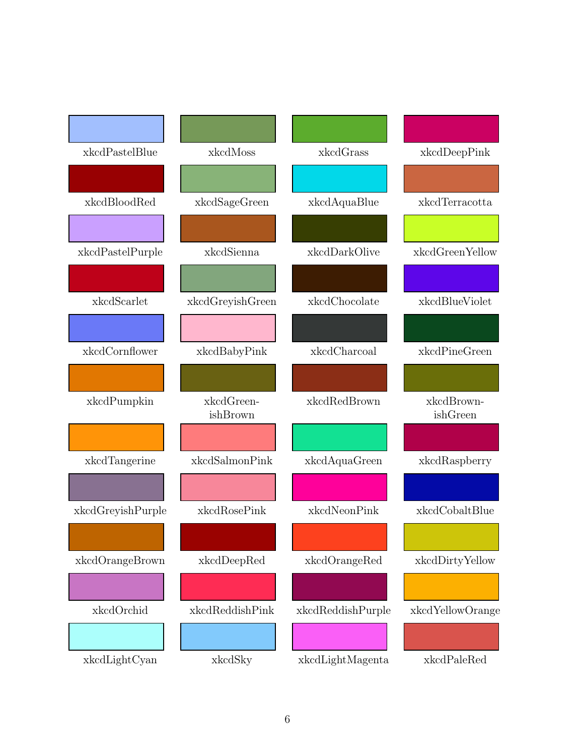| xkcdPastelBlue                         | xkcdMoss               | xkcdGrass         | xkcdDeepPink           |
|----------------------------------------|------------------------|-------------------|------------------------|
|                                        |                        |                   |                        |
| xkcdBloodRed                           | xkcdSageGreen          | xkcdAquaBlue      | xkcdTerracotta         |
|                                        |                        |                   |                        |
| xkcdPastelPurple                       | xkcdSienna             | xkcdDarkOlive     | xkcdGreenYellow        |
|                                        |                        |                   |                        |
| xkcdScarlet                            | xkcdGreyishGreen       | xkcdChocolate     | xkcdBlueViolet         |
|                                        |                        |                   |                        |
| xkcdCornflower                         | xkcdBabyPink           | xkcdCharcoal      | xkcdPineGreen          |
|                                        |                        |                   |                        |
| xkcdPumpkin                            | xkcdGreen-<br>ishBrown | xkcdRedBrown      | xkcdBrown-<br>ishGreen |
|                                        |                        |                   |                        |
| xkcdTangerine                          | xkcdSalmonPink         | xkcdAquaGreen     | xkcdRaspberry          |
|                                        |                        |                   |                        |
| $\mbox{{\sc xkcdGreys}}{}$ h<br>Purple | xkcdRosePink           | xkcdNeonPink      | xkcdCobaltBlue         |
|                                        |                        |                   |                        |
| xkcdOrangeBrown                        | xkcdDeepRed            | xkcdOrangeRed     | xkcdDirtyYellow        |
|                                        |                        |                   |                        |
| xkcdOrchid                             | xkcdReddishPink        | xkcdReddishPurple | xkcdYellowOrange       |
|                                        |                        |                   |                        |
| xkcdLightCyan                          | xkcdSky                | xkcdLightMagenta  | xkcdPaleRed            |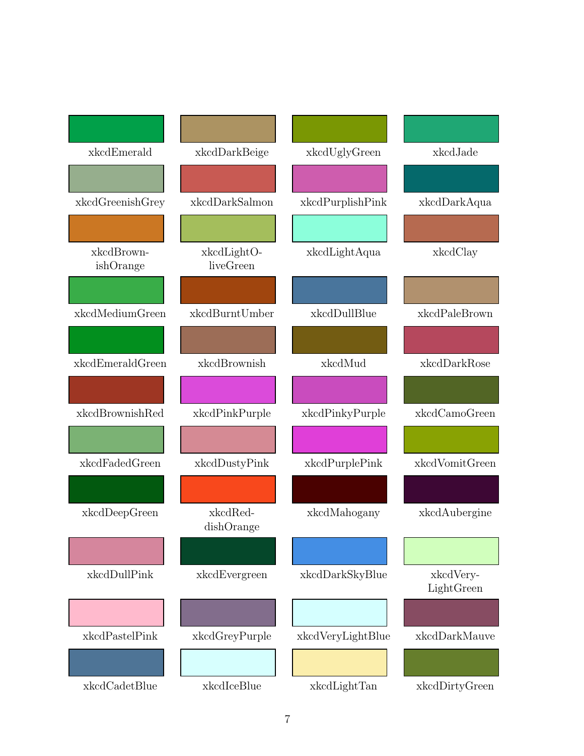| xkcdEmerald             | xkcdDarkBeige            | xkcdUglyGreen     | xkcdJade                |
|-------------------------|--------------------------|-------------------|-------------------------|
|                         |                          |                   |                         |
| xkcdGreenishGrey        | xkcdDarkSalmon           | xkcdPurplishPink  | xkcdDarkAqua            |
|                         |                          |                   |                         |
| xkcdBrown-<br>ishOrange | xkcdLightO-<br>liveGreen | xkcdLightAqua     | xkcdClay                |
|                         |                          |                   |                         |
| xkcdMediumGreen         | xkcdBurntUmber           | xkcdDullBlue      | xkcdPaleBrown           |
|                         |                          |                   |                         |
| xkcdEmeraldGreen        | xkcdBrownish             | xkcdMud           | xkcdDarkRose            |
|                         |                          |                   |                         |
| xkcdBrownishRed         | xkcdPinkPurple           | xkcdPinkyPurple   | xkcdCamoGreen           |
|                         |                          |                   |                         |
| xkcdFadedGreen          | xkcdDustyPink            | xkcdPurplePink    | xkcdVomitGreen          |
|                         |                          |                   |                         |
| xkcdDeepGreen           | xkcdRed-<br>dishOrange   | xkcdMahogany      | xkcdAubergine           |
|                         |                          |                   |                         |
| xkcdDullPink            | xkcdEvergreen            | xkcdDarkSkyBlue   | xkcdVery-<br>LightGreen |
|                         |                          |                   |                         |
| xkcdPastelPink          | xkcdGreyPurple           | xkcdVeryLightBlue | xkcdDarkMauve           |
|                         |                          |                   |                         |
| xkcdCadetBlue           | xkcdIceBlue              | xkcdLightTan      | xkcdDirtyGreen          |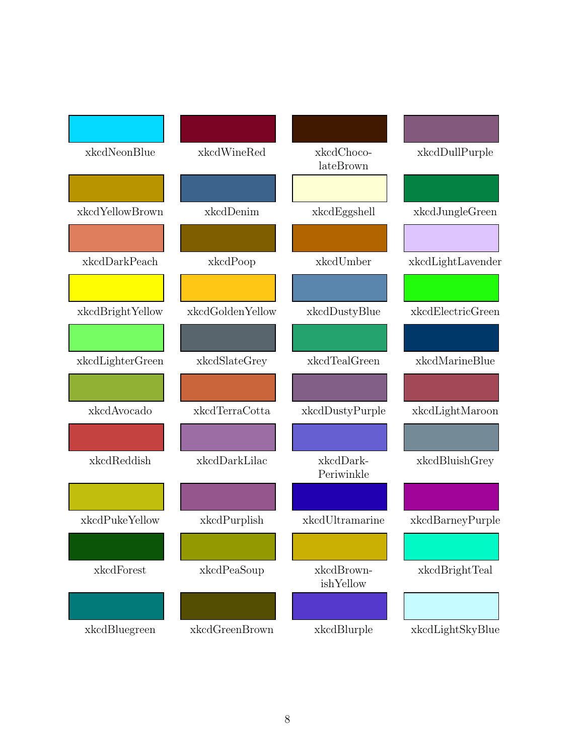| xkcdNeonBlue     | xkcdWineRed      | xkcdChoco-<br>lateBrown | xkcdDullPurple    |
|------------------|------------------|-------------------------|-------------------|
|                  |                  |                         |                   |
| xkcdYellowBrown  | xkcdDenim        | xkcdEggshell            | xkcdJungleGreen   |
|                  |                  |                         |                   |
| xkcdDarkPeach    | xkcdPoop         | xkcdUmber               | xkcdLightLavender |
|                  |                  |                         |                   |
| xkcdBrightYellow | xkcdGoldenYellow | xkcdDustyBlue           | xkcdElectricGreen |
|                  |                  |                         |                   |
| xkcdLighterGreen | xkcdSlateGrey    | xkcdTealGreen           | xkcdMarineBlue    |
|                  |                  |                         |                   |
| xkcdAvocado      | xkcdTerraCotta   | xkcdDustyPurple         | xkcdLightMaroon   |
|                  |                  |                         |                   |
| xkcdReddish      | xkcdDarkLilac    | xkcdDark-<br>Periwinkle | xkcdBluishGrey    |
|                  |                  |                         |                   |
| xkcdPukeYellow   | xkcdPurplish     | xkcdUltramarine         | xkcdBarneyPurple  |
|                  |                  |                         |                   |
| xkcdForest       | xkcdPeaSoup      | xkcdBrown-<br>ishYellow | xkcdBrightTeal    |
|                  |                  |                         |                   |
| xkcdBluegreen    | xkcdGreenBrown   | xkcdBlurple             | xkcdLightSkyBlue  |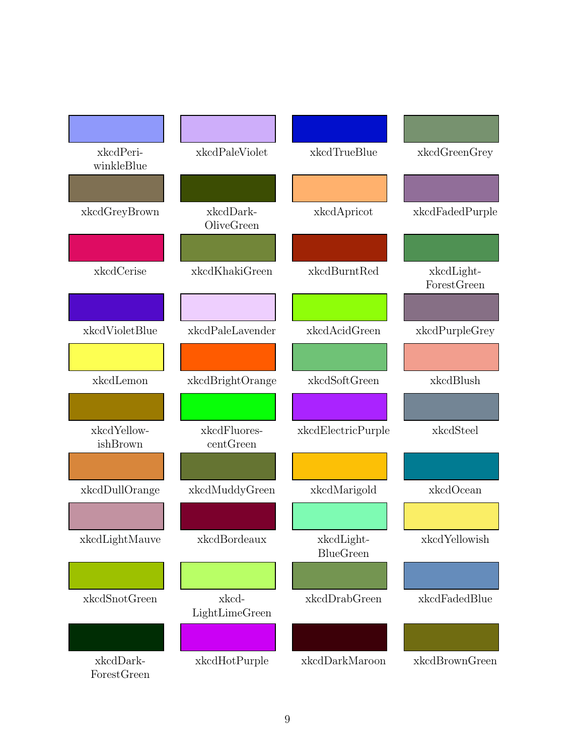| xkcdPeri-<br>winkleBlue  | xkcdPaleViolet            | xkcdTrueBlue                   | xkcdGreenGrey             |
|--------------------------|---------------------------|--------------------------------|---------------------------|
|                          |                           |                                |                           |
| xkcdGreyBrown            | xkcdDark-<br>OliveGreen   | xkcdApricot                    | xkcdFadedPurple           |
|                          |                           |                                |                           |
| xkcdCerise               | xkcdKhakiGreen            | xkcdBurntRed                   | xkcdLight-<br>ForestGreen |
|                          |                           |                                |                           |
| xkcdVioletBlue           | xkcdPaleLavender          | xkcdAcidGreen                  | xkcdPurpleGrey            |
|                          |                           |                                |                           |
| xkcdLemon                | xkcdBrightOrange          | xkcdSoftGreen                  | xkcdBlush                 |
|                          |                           |                                |                           |
| xkcdYellow-<br>ishBrown  | xkcdFluores-<br>centGreen | xkcdElectricPurple             | xkcdSteel                 |
|                          |                           |                                |                           |
| xkcdDullOrange           | xkcdMuddyGreen            | xkcdMarigold                   | xkcdOcean                 |
|                          |                           |                                |                           |
| xkcdLightMauve           | xkcdBordeaux              | xkcdLight-<br><b>BlueGreen</b> | xkcdYellowish             |
|                          |                           |                                |                           |
| xkcdSnotGreen            | xkcd-<br>LightLimeGreen   | xkcdDrabGreen                  | xkcdFadedBlue             |
|                          |                           |                                |                           |
| xkcdDark-<br>ForestGreen | xkcdHotPurple             | xkcdDarkMaroon                 | xkcdBrownGreen            |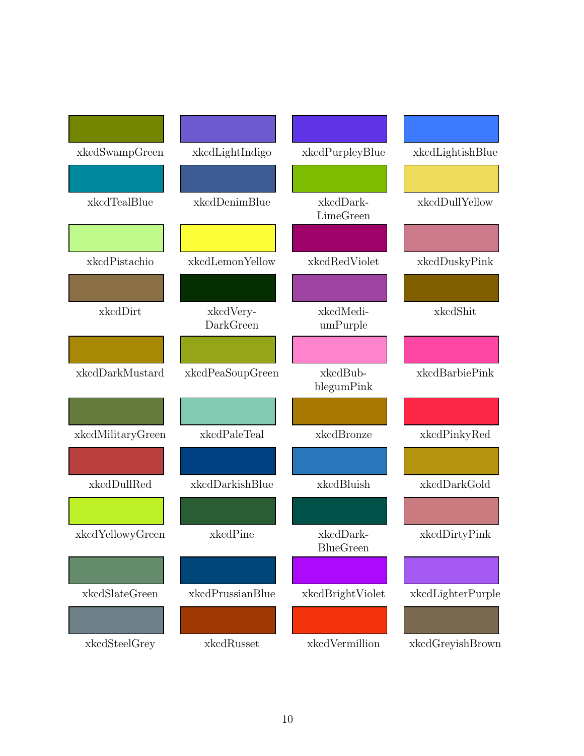| xkcdSwampGreen    | xkcdLightIndigo        | xkcdPurpleyBlue               | xkcdLightishBlue  |
|-------------------|------------------------|-------------------------------|-------------------|
|                   |                        |                               |                   |
| xkcdTealBlue      | xkcdDenimBlue          | xkcdDark-<br>LimeGreen        | xkcdDullYellow    |
|                   |                        |                               |                   |
| xkcdPistachio     | xkcdLemonYellow        | xkcdRedViolet                 | xkcdDuskyPink     |
|                   |                        |                               |                   |
| xkcdDirt          | xkcdVery-<br>DarkGreen | xkcdMedi-<br>umPurple         | xkcdShit          |
| xkcdDarkMustard   | xkcdPeaSoupGreen       | xkcdBub-<br>blegumPink        | xkcdBarbiePink    |
|                   |                        |                               |                   |
| xkcdMilitaryGreen | xkcdPaleTeal           | xkcdBronze                    | xkcdPinkyRed      |
| xkcdDullRed       | xkcdDarkishBlue        | xkcdBluish                    | xkcdDarkGold      |
|                   |                        |                               |                   |
| xkcdYellowyGreen  | xkcdPine               | xkcdDark-<br><b>BlueGreen</b> | xkcdDirtyPink     |
|                   |                        |                               |                   |
| xkcdSlateGreen    | xkcdPrussianBlue       | xkcdBrightViolet              | xkcdLighterPurple |
| xkcdSteelGrey     | xkcdRusset             | xkcdVermillion                | xkcdGreyishBrown  |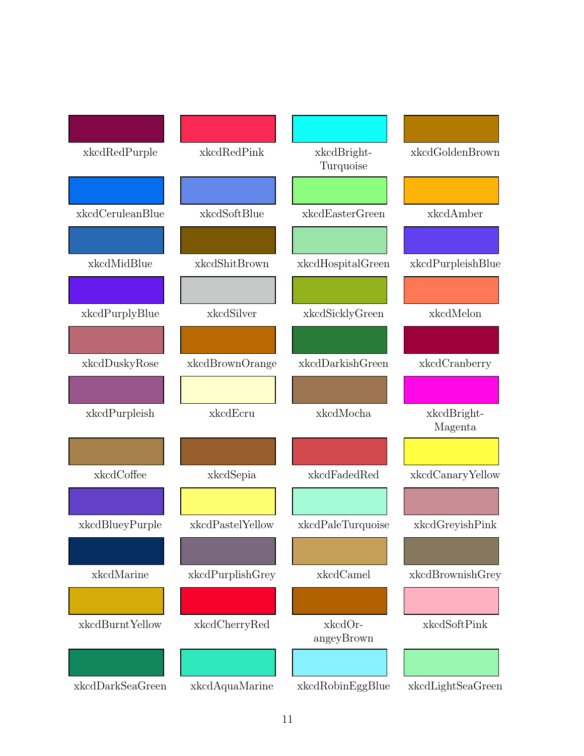| xkcdRedPurple    | xkcdRedPink      | xkcdBright-<br>Turquoise | xkcdGoldenBrown        |
|------------------|------------------|--------------------------|------------------------|
|                  |                  |                          |                        |
| xkcdCeruleanBlue | xkcdSoftBlue     | xkcdEasterGreen          | xkcdAmber              |
|                  |                  |                          |                        |
| xkcdMidBlue      | xkcdShitBrown    | xkcdHospitalGreen        | xkcdPurpleishBlue      |
|                  |                  |                          |                        |
| xkcdPurplyBlue   | xkcdSilver       | xkcdSicklyGreen          | xkcdMelon              |
|                  |                  |                          |                        |
| xkcdDuskyRose    | xkcdBrownOrange  | xkcdDarkishGreen         | xkcdCranberry          |
| xkcdPurpleish    | xkcdEcru         | xkcdMocha                | xkcdBright-<br>Magenta |
|                  |                  |                          |                        |
| xkcdCoffee       | xkcdSepia        | xkcdFadedRed             | xkcdCanaryYellow       |
|                  |                  |                          |                        |
| xkcdBlueyPurple  | xkcdPastelYellow | xkcdPaleTurquoise        | xkcdGreyishPink        |
|                  |                  |                          |                        |
| xkcdMarine       | xkcdPurplishGrey | xkcdCamel                | xkcdBrownishGrey       |
| xkcdBurntYellow  |                  |                          | xkcdSoftPink           |
|                  | xkcdCherryRed    | xkcdOr-<br>angeyBrown    |                        |
|                  |                  |                          |                        |
| xkcdDarkSeaGreen | xkcdAquaMarine   | xkcdRobinEggBlue         | xkcdLightSeaGreen      |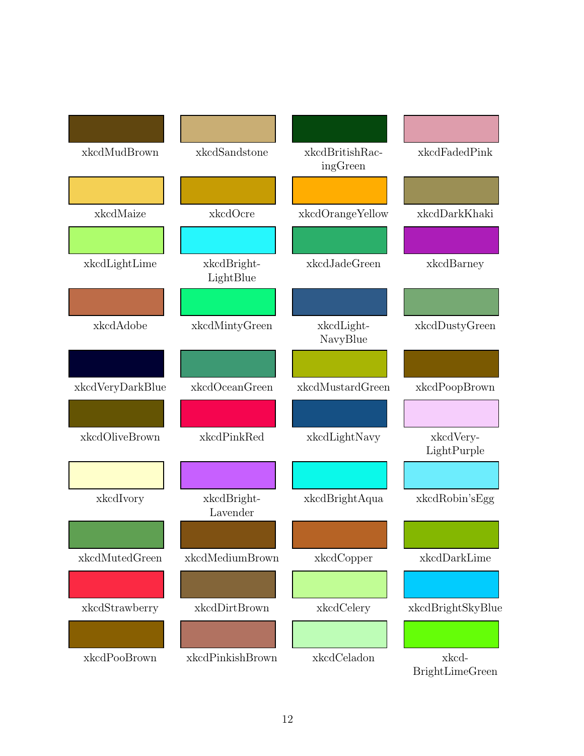| xkcdMudBrown     | xkcdSandstone            | xkcdBritishRac-<br>ingGreen | xkcdFadedPink                   |
|------------------|--------------------------|-----------------------------|---------------------------------|
|                  |                          |                             |                                 |
| xkcdMaize        | xkcdOcre                 | xkcdOrangeYellow            | xkcdDarkKhaki                   |
|                  |                          |                             |                                 |
| xkcdLightLime    | xkcdBright-<br>LightBlue | xkcdJadeGreen               | xkcdBarney                      |
|                  |                          |                             |                                 |
| xkcdAdobe        | xkcdMintyGreen           | xkcdLight-<br>NavyBlue      | xkcdDustyGreen                  |
|                  |                          |                             |                                 |
| xkcdVeryDarkBlue | xkcdOceanGreen           | xkcdMustardGreen            | xkcdPoopBrown                   |
|                  |                          |                             |                                 |
| xkcdOliveBrown   | xkcdPinkRed              | xkcdLightNavy               | xkcdVery-<br>LightPurple        |
|                  |                          |                             |                                 |
| xkcdIvory        | xkcdBright-<br>Lavender  | xkcdBrightAqua              | xkcdRobin'sEgg                  |
|                  |                          |                             |                                 |
| xkcdMutedGreen   | xkcdMediumBrown          | xkcdCopper                  | xkcdDarkLime                    |
|                  |                          |                             |                                 |
| xkcdStrawberry   | xkcdDirtBrown            | xkcdCelery                  | xkcdBrightSkyBlue               |
|                  |                          |                             |                                 |
| xkcdPooBrown     | xkcdPinkishBrown         | xkcdCeladon                 | xkcd-<br><b>BrightLimeGreen</b> |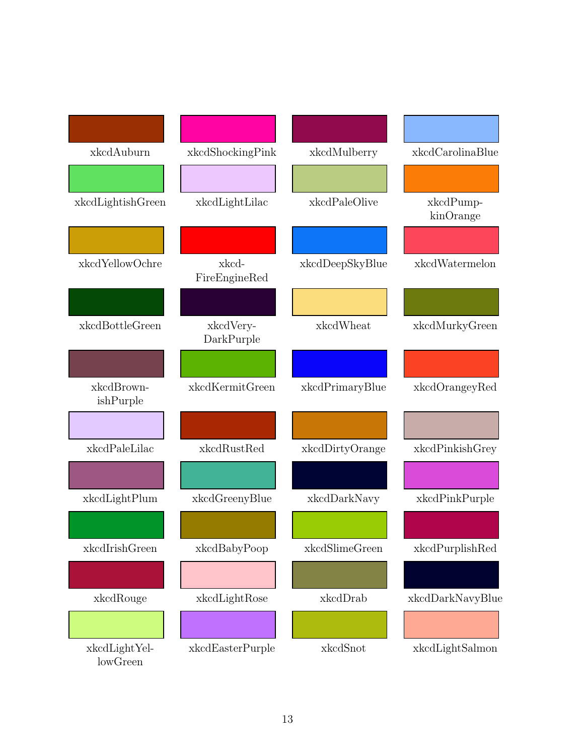| xkcdAuburn                | xkcdShockingPink        | xkcdMulberry    | xkcdCarolinaBlue       |
|---------------------------|-------------------------|-----------------|------------------------|
|                           |                         |                 |                        |
| xkcdLightishGreen         | xkcdLightLilac          | xkcdPaleOlive   | xkcdPump-<br>kinOrange |
|                           |                         |                 |                        |
| xkcdYellowOchre           | xkcd-<br>FireEngineRed  | xkcdDeepSkyBlue | xkcdWatermelon         |
|                           |                         |                 |                        |
| xkcdBottleGreen           | xkcdVery-<br>DarkPurple | xkcdWheat       | xkcdMurkyGreen         |
|                           |                         |                 |                        |
| xkcdBrown-<br>ishPurple   | xkcdKermitGreen         | xkcdPrimaryBlue | xkcdOrangeyRed         |
|                           |                         |                 |                        |
| xkcdPaleLilac             | xkcdRustRed             | xkcdDirtyOrange | xkcdPinkishGrey        |
|                           |                         |                 |                        |
| xkcdLightPlum             | xkcdGreenyBlue          | xkcdDarkNavy    | xkcdPinkPurple         |
|                           |                         |                 |                        |
| xkcdIrishGreen            | xkcdBabyPoop            | xkcdSlimeGreen  | xkcdPurplishRed        |
|                           |                         |                 |                        |
| xkcdRouge                 | xkcdLightRose           | xkcdDrab        | xkcdDarkNavyBlue       |
|                           |                         |                 |                        |
| xkcdLightYel-<br>lowGreen | xkcdEasterPurple        | xkcdSnot        | xkcdLightSalmon        |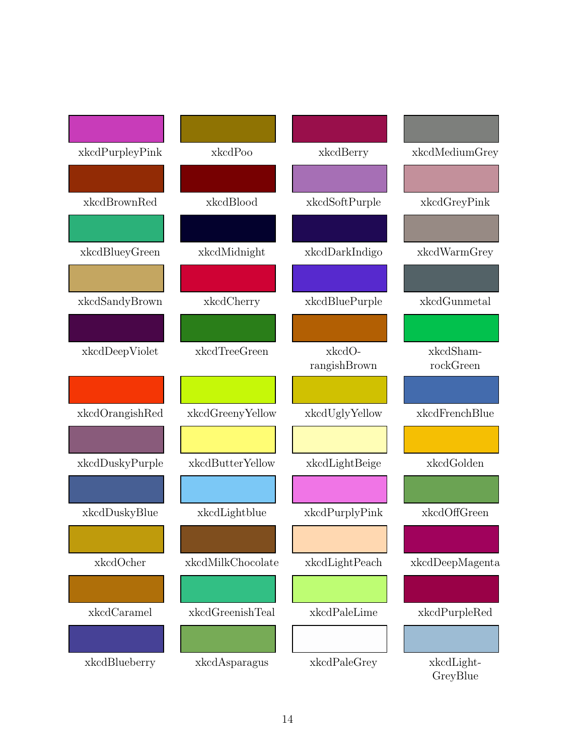| xkcdPurpleyPink | xkcdPoo           | xkcdBerry      | xkcdMediumGrey         |
|-----------------|-------------------|----------------|------------------------|
|                 |                   |                |                        |
| xkcdBrownRed    | xkcdBlood         | xkcdSoftPurple | xkcdGreyPink           |
|                 |                   |                |                        |
| xkcdBlueyGreen  | xkcdMidnight      | xkcdDarkIndigo | xkcdWarmGrey           |
|                 |                   |                |                        |
| xkcdSandyBrown  | xkcdCherry        | xkcdBluePurple | xkcdGunmetal           |
|                 |                   |                |                        |
| xkcdDeepViolet  | xkcdTreeGreen     | xkcdO-         | xkcdSham-              |
|                 |                   | rangishBrown   | rockGreen              |
|                 |                   |                |                        |
| xkcdOrangishRed | xkcdGreenyYellow  | xkcdUglyYellow | xkcdFrenchBlue         |
|                 |                   |                |                        |
| xkcdDuskyPurple | xkcdButterYellow  | xkcdLightBeige | xkcdGolden             |
|                 |                   |                |                        |
| xkcdDuskyBlue   | xkcdLightblue     | xkcdPurplyPink | xkcdOffGreen           |
|                 |                   |                |                        |
| xkcdOcher       | xkcdMilkChocolate | xkcdLightPeach | xkcdDeepMagenta        |
|                 |                   |                |                        |
| xkcdCaramel     | xkcdGreenishTeal  | xkcdPaleLime   | xkcdPurpleRed          |
|                 |                   |                |                        |
| xkcdBlueberry   | xkcdAsparagus     | xkcdPaleGrey   | xkcdLight-<br>GreyBlue |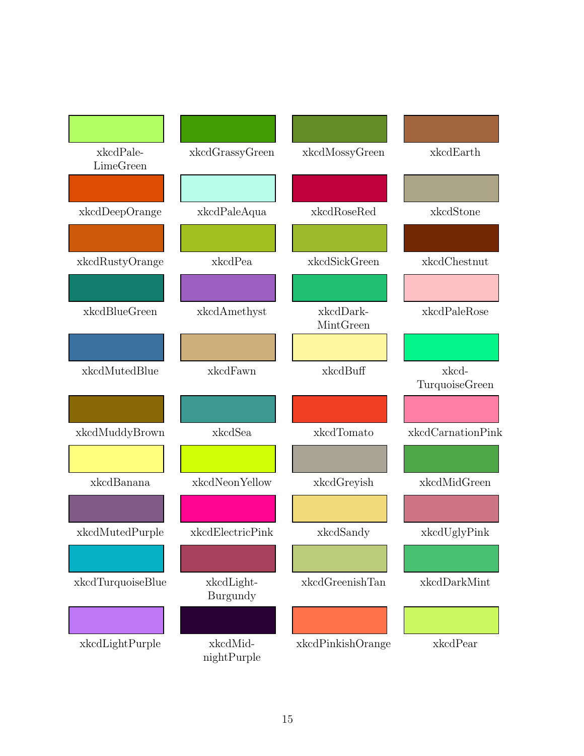| xkcdPale-<br>LimeGreen | xkcdGrassyGreen         | xkcdMossyGreen         | xkcdEarth               |
|------------------------|-------------------------|------------------------|-------------------------|
|                        |                         |                        |                         |
| xkcdDeepOrange         | xkcdPaleAqua            | xkcdRoseRed            | xkcdStone               |
|                        |                         |                        |                         |
| xkcdRustyOrange        | xkcdPea                 | xkcdSickGreen          | xkcdChestnut            |
|                        |                         |                        |                         |
| xkcdBlueGreen          | xkcdAmethyst            | xkcdDark-<br>MintGreen | xkcdPaleRose            |
|                        |                         |                        |                         |
| xkcdMutedBlue          | xkcdFawn                | xkcdBuff               | xkcd-<br>TurquoiseGreen |
|                        |                         |                        |                         |
| xkcdMuddyBrown         | xkcdSea                 | xkcdTomato             | xkcdCarnationPink       |
|                        |                         |                        |                         |
| xkcdBanana             | xkcdNeonYellow          | xkcdGreyish            | xkcdMidGreen            |
|                        |                         |                        |                         |
| xkcdMutedPurple        | xkcdElectricPink        | xkcdSandy              | xkcdUglyPink            |
|                        |                         |                        |                         |
| xkcdTurquoiseBlue      | xkcdLight-<br>Burgundy  | xkcdGreenishTan        | xkcdDarkMint            |
|                        |                         |                        |                         |
| xkcdLightPurple        | xkcdMid-<br>nightPurple | xkcdPinkishOrange      | xkcdPear                |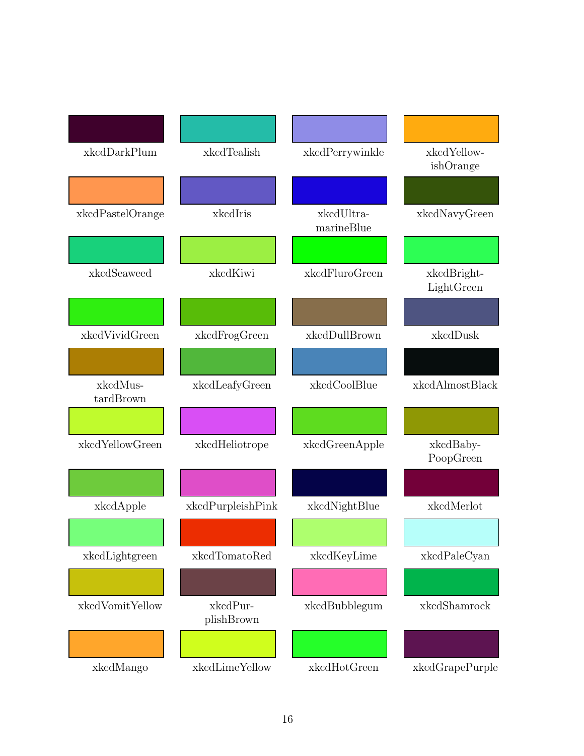| xkcdDarkPlum          | xkcdTealish            | xkcdPerrywinkle          | xkcdYellow-<br>ishOrange  |
|-----------------------|------------------------|--------------------------|---------------------------|
|                       |                        |                          |                           |
| xkcdPastelOrange      | xkcdIris               | xkcdUltra-<br>marineBlue | xkcdNavyGreen             |
|                       |                        |                          |                           |
| xkcdSeaweed           | xkcdKiwi               | xkcdFluroGreen           | xkcdBright-<br>LightGreen |
|                       |                        |                          |                           |
| xkcdVividGreen        | xkcdFrogGreen          | xkcdDullBrown            | xkcdDusk                  |
|                       |                        |                          |                           |
| xkcdMus-<br>tardBrown | xkcdLeafyGreen         | xkcdCoolBlue             | xkcdAlmostBlack           |
|                       |                        |                          |                           |
| xkcdYellowGreen       | xkcdHeliotrope         | xkcdGreenApple           | xkcdBaby-<br>PoopGreen    |
|                       |                        |                          |                           |
| xkcdApple             | xkcdPurpleishPink      | xkcdNightBlue            | xkcdMerlot                |
|                       |                        |                          |                           |
| xkcdLightgreen        | xkcdTomatoRed          | xkcdKeyLime              | xkcdPaleCyan              |
|                       |                        |                          |                           |
| xkcdVomitYellow       | xkcdPur-<br>plishBrown | xkcdBubblegum            | xkcdShamrock              |
|                       |                        |                          |                           |
| xkcdMango             | xkcdLimeYellow         | xkcdHotGreen             | xkcdGrapePurple           |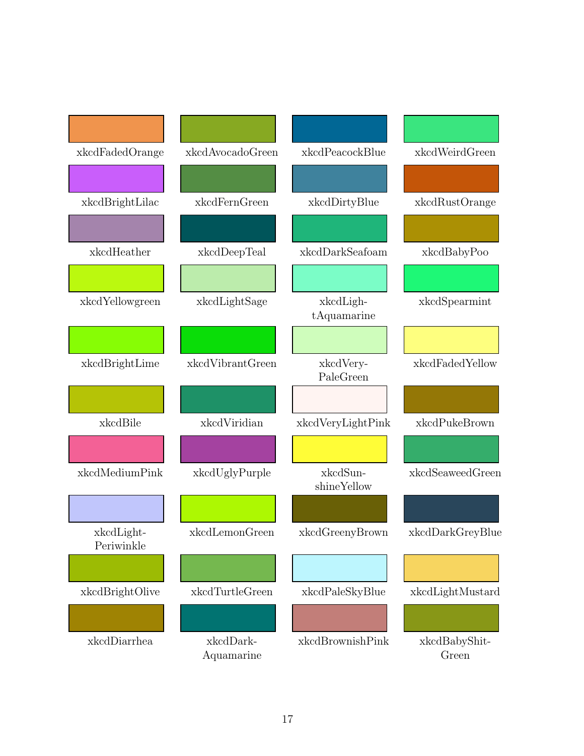| xkcdFadedOrange          | xkcdAvocadoGreen        | xkcdPeacockBlue          | xkcdWeirdGreen         |
|--------------------------|-------------------------|--------------------------|------------------------|
|                          |                         |                          |                        |
| xkcdBrightLilac          | xkcdFernGreen           | xkcdDirtyBlue            | xkcdRustOrange         |
|                          |                         |                          |                        |
| xkcdHeather              | xkcdDeepTeal            | xkcdDarkSeafoam          | xkcdBabyPoo            |
|                          |                         |                          |                        |
| xkcdYellowgreen          | xkcdLightSage           | xkcdLigh-<br>tAquamarine | xkcdSpearmint          |
|                          |                         |                          |                        |
| xkcdBrightLime           | xkcdVibrantGreen        | xkcdVery-<br>PaleGreen   | xkcdFadedYellow        |
|                          |                         |                          |                        |
| xkcdBile                 | xkcdViridian            | xkcdVeryLightPink        | xkcdPukeBrown          |
|                          |                         |                          |                        |
| xkcdMediumPink           | xkcdUglyPurple          | xkcdSun-<br>shineYellow  | xkcdSeaweedGreen       |
|                          |                         |                          |                        |
| xkcdLight-<br>Periwinkle | xkcdLemonGreen          | xkcdGreenyBrown          | xkcdDarkGreyBlue       |
|                          |                         |                          |                        |
| xkcdBrightOlive          | xkcdTurtleGreen         | xkcdPaleSkyBlue          | xkcdLightMustard       |
|                          |                         |                          |                        |
| xkcdDiarrhea             | xkcdDark-<br>Aquamarine | xkcdBrownishPink         | xkcdBabyShit-<br>Green |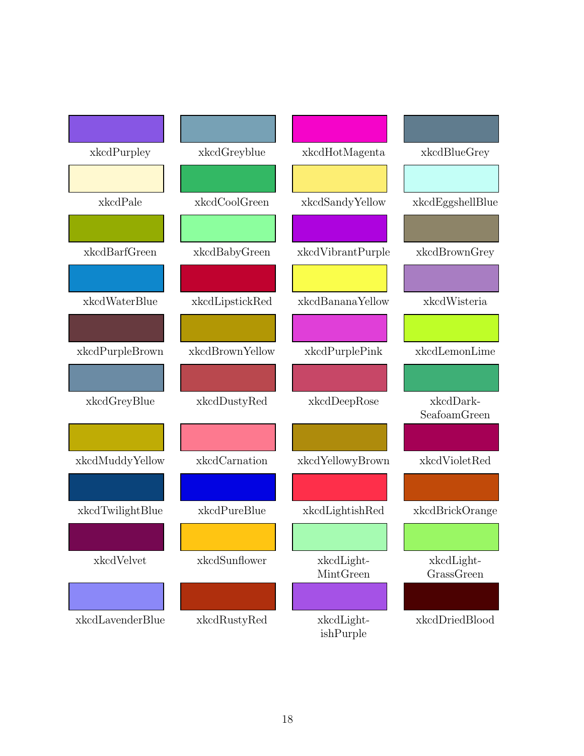| xkcdPurpley      | xkcdGreyblue    | xkcdHotMagenta          | xkcdBlueGrey              |
|------------------|-----------------|-------------------------|---------------------------|
|                  |                 |                         |                           |
| xkcdPale         | xkcdCoolGreen   | xkcdSandyYellow         | xkcdEggshellBlue          |
|                  |                 |                         |                           |
| xkcdBarfGreen    | xkcdBabyGreen   | xkcdVibrantPurple       | xkcdBrownGrey             |
|                  |                 |                         |                           |
| xkcdWaterBlue    | xkcdLipstickRed | xkcdBananaYellow        | xkcdWisteria              |
|                  |                 |                         |                           |
| xkcdPurpleBrown  | xkcdBrownYellow | xkcdPurplePink          | xkcdLemonLime             |
|                  |                 |                         |                           |
| xkcdGreyBlue     | xkcdDustyRed    | xkcdDeepRose            | xkcdDark-<br>SeafoamGreen |
|                  |                 |                         |                           |
| xkcdMuddyYellow  | xkcdCarnation   | xkcdYellowyBrown        | xkcdVioletRed             |
|                  |                 |                         |                           |
| xkcdTwilightBlue | xkcdPureBlue    | xkcdLightishRed         | xkcdBrickOrange           |
|                  |                 |                         |                           |
| xkcdVelvet       | xkcdSunflower   | xkcdLight-<br>MintGreen | xkcdLight-<br>GrassGreen  |
|                  |                 |                         |                           |
| xkcdLavenderBlue | xkcdRustyRed    | xkcdLight-<br>ishPurple | xkcdDriedBlood            |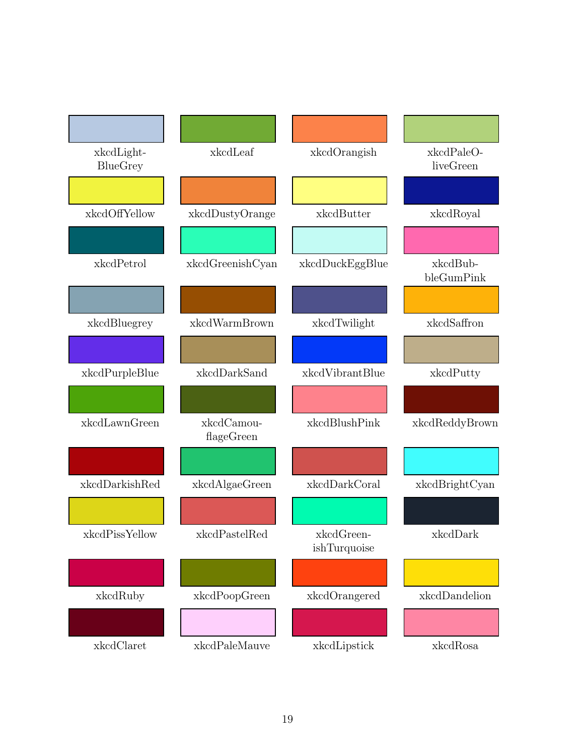| xkcdLight-<br>BlueGrey | xkcdLeaf                 | xkcdOrangish               | xkcdPaleO-<br>liveGreen |
|------------------------|--------------------------|----------------------------|-------------------------|
|                        |                          |                            |                         |
| xkcdOffYellow          | xkcdDustyOrange          | xkcdButter                 | xkcdRoyal               |
|                        |                          |                            |                         |
| xkcdPetrol             | xkcdGreenishCyan         | xkcdDuckEggBlue            | xkcdBub-<br>bleGumPink  |
|                        |                          |                            |                         |
| xkcdBluegrey           | xkcdWarmBrown            | xkcdTwilight               | xkcdSaffron             |
|                        |                          |                            |                         |
| xkcdPurpleBlue         | xkcdDarkSand             | xkcdVibrantBlue            | xkcdPutty               |
|                        |                          |                            |                         |
| xkcdLawnGreen          | xkcdCamou-<br>flageGreen | xkcdBlushPink              | xkcdReddyBrown          |
|                        |                          |                            |                         |
| xkcdDarkishRed         | xkcdAlgaeGreen           | xkcdDarkCoral              | xkcdBrightCyan          |
|                        |                          |                            |                         |
| xkcdPissYellow         | xkcdPastelRed            | xkcdGreen-<br>ishTurquoise | xkcdDark                |
|                        |                          |                            |                         |
| xkcdRuby               | xkcdPoopGreen            | xkcdOrangered              | xkcdDandelion           |
|                        |                          |                            |                         |
| xkcdClaret             | xkcdPaleMauve            | xkcdLipstick               | xkcdRosa                |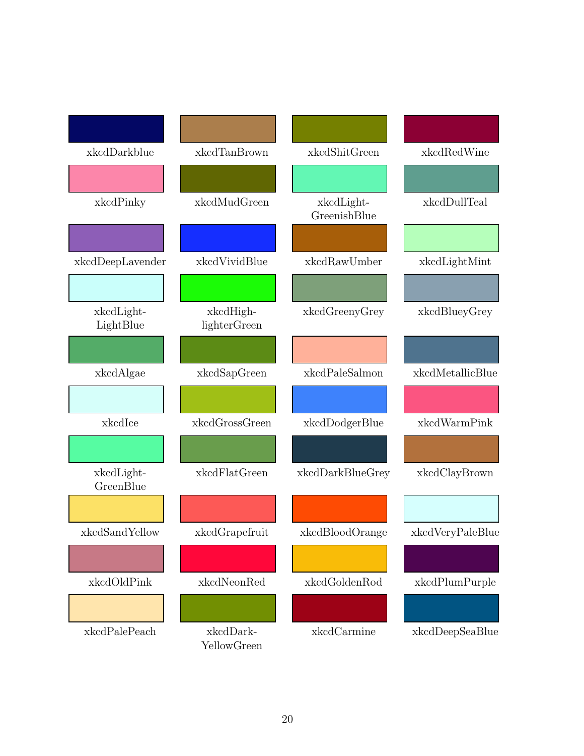| xkcdDarkblue            | xkcdTanBrown              | xkcdShitGreen              | xkcdRedWine      |
|-------------------------|---------------------------|----------------------------|------------------|
|                         |                           |                            |                  |
| xkcdPinky               | xkcdMudGreen              | xkcdLight-<br>GreenishBlue | xkcdDullTeal     |
|                         |                           |                            |                  |
| xkcdDeepLavender        | xkcdVividBlue             | xkcdRawUmber               | xkcdLightMint    |
|                         |                           |                            |                  |
| xkcdLight-<br>LightBlue | xkcdHigh-<br>lighterGreen | xkcdGreenyGrey             | xkcdBlueyGrey    |
|                         |                           |                            |                  |
| xkcdAlgae               | xkcdSapGreen              | xkcdPaleSalmon             | xkcdMetallicBlue |
|                         |                           |                            |                  |
| xkcdIce                 | xkcdGrossGreen            | xkcdDodgerBlue             | xkcdWarmPink     |
|                         |                           |                            |                  |
| xkcdLight-<br>GreenBlue | xkcdFlatGreen             | xkcdDarkBlueGrey           | xkcdClayBrown    |
|                         |                           |                            |                  |
| xkcdSandYellow          | xkcdGrapefruit            | xkcdBloodOrange            | xkcdVeryPaleBlue |
|                         |                           |                            |                  |
| xkcdOldPink             | xkcdNeonRed               | xkcdGoldenRod              | xkcdPlumPurple   |
|                         |                           |                            |                  |
| xkcdPalePeach           | xkcdDark-<br>YellowGreen  | xkcdCarmine                | xkcdDeepSeaBlue  |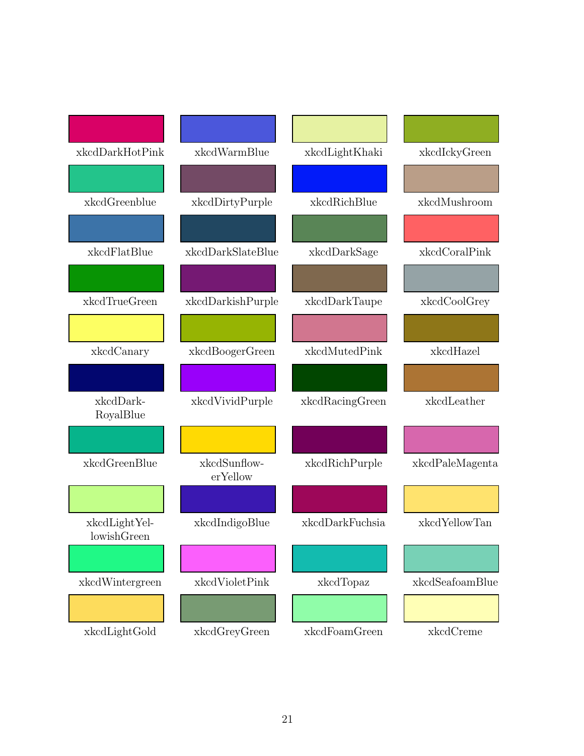| xkcdDarkHotPink              | xkcdWarmBlue             | xkcdLightKhaki  | xkcdIckyGreen   |
|------------------------------|--------------------------|-----------------|-----------------|
|                              |                          |                 |                 |
| xkcdGreenblue                | xkcdDirtyPurple          | xkcdRichBlue    | xkcdMushroom    |
|                              |                          |                 |                 |
| xkcdFlatBlue                 | xkcdDarkSlateBlue        | xkcdDarkSage    | xkcdCoralPink   |
|                              |                          |                 |                 |
| xkcdTrueGreen                | xkcdDarkishPurple        | xkcdDarkTaupe   | xkcdCoolGrey    |
|                              |                          |                 |                 |
| xkcdCanary                   | xkcdBoogerGreen          | xkcdMutedPink   | xkcdHazel       |
|                              |                          |                 |                 |
| xkcdDark-<br>RoyalBlue       | xkcdVividPurple          | xkcdRacingGreen | xkcdLeather     |
|                              |                          |                 |                 |
| xkcdGreenBlue                | xkcdSunflow-<br>erYellow | xkcdRichPurple  | xkcdPaleMagenta |
|                              |                          |                 |                 |
| xkcdLightYel-<br>lowishGreen | xkcdIndigoBlue           | xkcdDarkFuchsia | xkcdYellowTan   |
|                              |                          |                 |                 |
| xkcdWintergreen              | xkcdVioletPink           | xkcdTopaz       | xkcdSeafoamBlue |
|                              |                          |                 |                 |
| xkcdLightGold                | xkcdGreyGreen            | xkcdFoamGreen   | xkcdCreme       |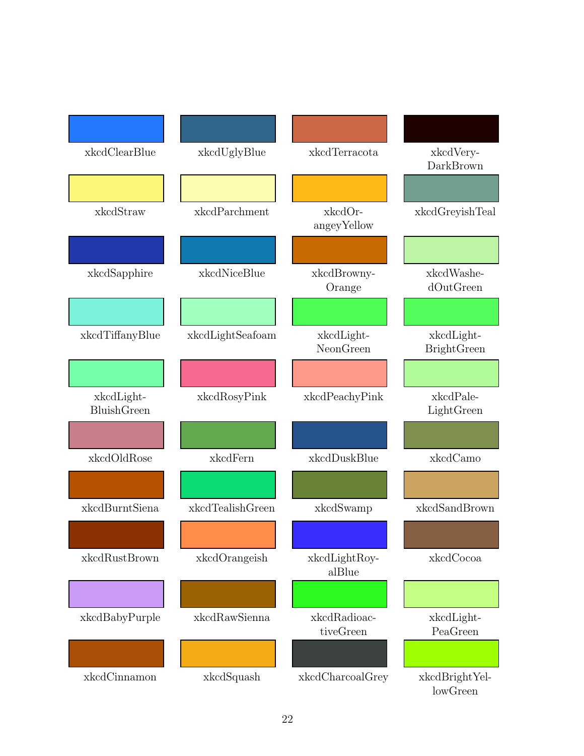| xkcdClearBlue             | xkcdUglyBlue     | xkcdTerracota             | xkcdVery-<br>DarkBrown           |
|---------------------------|------------------|---------------------------|----------------------------------|
|                           |                  |                           |                                  |
| xkcdStraw                 | xkcdParchment    | xkcdOr-<br>angeyYellow    | xkcdGreyishTeal                  |
|                           |                  |                           |                                  |
| xkcdSapphire              | xkcdNiceBlue     | xkcdBrowny-<br>Orange     | xkcdWashe-<br>dOutGreen          |
|                           |                  |                           |                                  |
| xkcdTiffanyBlue           | xkcdLightSeafoam | xkcdLight-<br>NeonGreen   | xkcdLight-<br><b>BrightGreen</b> |
|                           |                  |                           |                                  |
| xkcdLight-<br>BluishGreen | xkcdRosyPink     | xkcdPeachyPink            | xkcdPale-<br>LightGreen          |
|                           |                  |                           |                                  |
| xkcdOldRose               | xkcdFern         | xkcdDuskBlue              | xkcdCamo                         |
|                           |                  |                           |                                  |
| xkcdBurntSiena            | xkcdTealishGreen | xkcdSwamp                 | xkcdSandBrown                    |
|                           |                  |                           |                                  |
| xkcdRustBrown             | xkcdOrangeish    | xkcdLightRoy-<br>alBlue   | xkcdCocoa                        |
|                           |                  |                           |                                  |
| xkcdBabyPurple            | xkcdRawSienna    | xkcdRadioac-<br>tiveGreen | xkcdLight-<br>PeaGreen           |
|                           |                  |                           |                                  |
| xkcdCinnamon              | xkcdSquash       | xkcdCharcoalGrey          | xkcdBrightYel-<br>lowGreen       |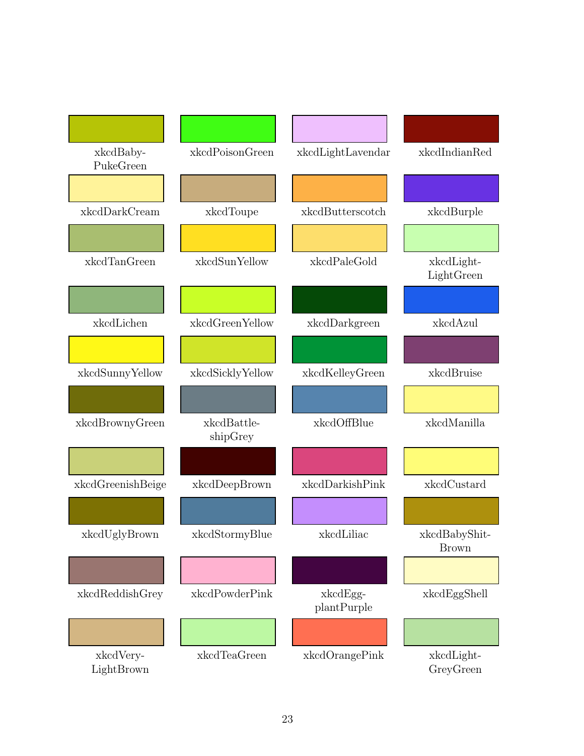| xkcdBaby-<br>PukeGreen                                                                                                           | xkcdPoisonGreen         | xkcdLightLavendar       | xkcdIndianRed                 |
|----------------------------------------------------------------------------------------------------------------------------------|-------------------------|-------------------------|-------------------------------|
|                                                                                                                                  |                         |                         |                               |
| xkcdDarkCream                                                                                                                    | xkcdToupe               | xkcdButterscotch        | xkcdBurple                    |
|                                                                                                                                  |                         |                         |                               |
| xkcdTanGreen                                                                                                                     | xkcdSunYellow           | xkcdPaleGold            | xkcdLight-<br>LightGreen      |
|                                                                                                                                  |                         |                         |                               |
| xkcdLichen                                                                                                                       | xkcdGreenYellow         | xkcdDarkgreen           | xkcdAzul                      |
|                                                                                                                                  |                         |                         |                               |
| xkcdSunnyYellow                                                                                                                  | xkcdSicklyYellow        | xkcdKelleyGreen         | xkcdBruise                    |
|                                                                                                                                  |                         |                         |                               |
| xkcdBrownyGreen                                                                                                                  | xkcdBattle-<br>shipGrey | xkcdOffBlue             | xkcdManilla                   |
|                                                                                                                                  |                         |                         |                               |
| xkcdGreenishBeige                                                                                                                | xkcdDeepBrown           | xkcdDarkishPink         | xkcdCustard                   |
|                                                                                                                                  |                         |                         |                               |
| xkcdUglyBrown                                                                                                                    | xkcdStormyBlue          | xkcdLiliac              | xkcdBabyShit-<br><b>Brown</b> |
|                                                                                                                                  |                         |                         |                               |
| $\mathbf x\mathbf k\mathbf c\mathbf d\mathbf R\mathbf e\mathbf d\mathbf d\mathbf s\mathbf h\mathbf G\mathbf r\mathbf e\mathbf y$ | xkcdPowderPink          | xkcdEgg-<br>plantPurple | xkcdEggShell                  |
|                                                                                                                                  |                         |                         |                               |
| xkcdVery-<br>LightBrown                                                                                                          | xkcdTeaGreen            | xkcdOrangePink          | xkcdLight-<br>GreyGreen       |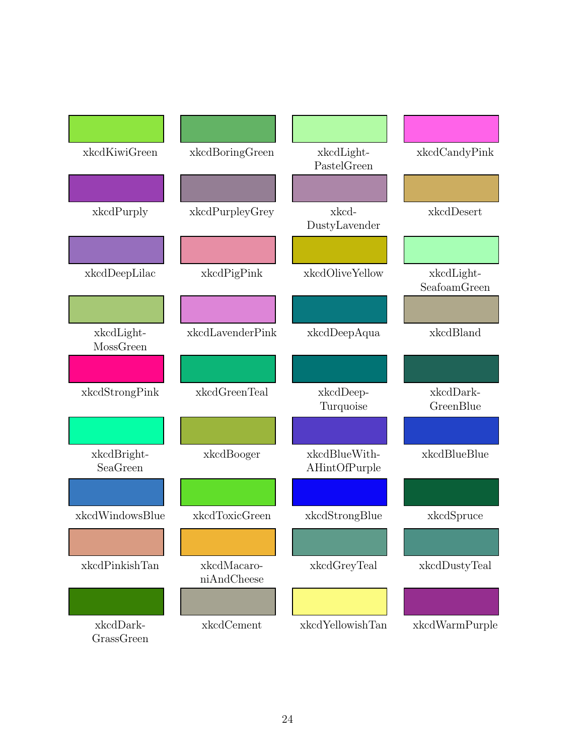| xkcdKiwiGreen           | xkcdBoringGreen            | xkcdLight-<br>PastelGreen      | xkcdCandyPink              |
|-------------------------|----------------------------|--------------------------------|----------------------------|
|                         |                            |                                |                            |
| xkcdPurply              | xkcdPurpleyGrey            | xkcd-<br>DustyLavender         | xkcdDesert                 |
|                         |                            |                                |                            |
| xkcdDeepLilac           | xkcdPigPink                | xkcdOliveYellow                | xkcdLight-<br>SeafoamGreen |
|                         |                            |                                |                            |
| xkcdLight-<br>MossGreen | xkcdLavenderPink           | xkcdDeepAqua                   | xkcdBland                  |
|                         |                            |                                |                            |
| xkcdStrongPink          | xkcdGreenTeal              | xkcdDeep-<br>Turquoise         | xkcdDark-<br>GreenBlue     |
|                         |                            |                                |                            |
| xkcdBright-<br>SeaGreen | xkcdBooger                 | xkcdBlueWith-<br>AHintOfPurple | xkcdBlueBlue               |
|                         |                            |                                |                            |
| xkcdWindowsBlue         | xkcdToxicGreen             | xkcdStrongBlue                 | xkcdSpruce                 |
|                         |                            |                                |                            |
| xkcdPinkishTan          | xkcdMacaro-<br>niAndCheese | xkcdGreyTeal                   | xkcdDustyTeal              |
|                         |                            |                                |                            |
| xkcdDark-<br>GrassGreen | xkcdCement                 | xkcdYellowishTan               | xkcdWarmPurple             |